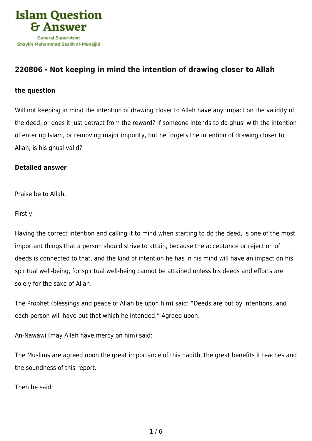

## **[220806 - Not keeping in mind the intention of drawing closer to Allah](https://islamqa.com/en/answers/220806/not-keeping-in-mind-the-intention-of-drawing-closer-to-allah)**

## **the question**

Will not keeping in mind the intention of drawing closer to Allah have any impact on the validity of the deed, or does it just detract from the reward? If someone intends to do ghusl with the intention of entering Islam, or removing major impurity, but he forgets the intention of drawing closer to Allah, is his ghusl valid?

## **Detailed answer**

Praise be to Allah.

Firstly:

Having the correct intention and calling it to mind when starting to do the deed, is one of the most important things that a person should strive to attain, because the acceptance or rejection of deeds is connected to that, and the kind of intention he has in his mind will have an impact on his spiritual well-being, for spiritual well-being cannot be attained unless his deeds and efforts are solely for the sake of Allah.

The Prophet (blessings and peace of Allah be upon him) said: "Deeds are but by intentions, and each person will have but that which he intended." Agreed upon.

An-Nawawi (may Allah have mercy on him) said:

The Muslims are agreed upon the great importance of this hadith, the great benefits it teaches and the soundness of this report.

Then he said: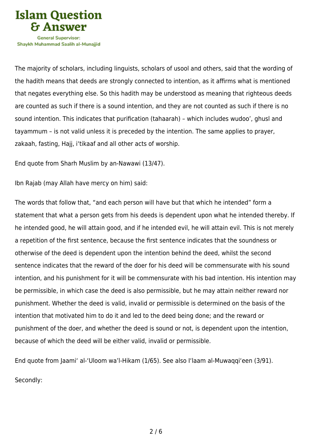

Shavkh Muhammad Saalih al-Munaiiid

The majority of scholars, including linguists, scholars of usool and others, said that the wording of the hadith means that deeds are strongly connected to intention, as it affirms what is mentioned that negates everything else. So this hadith may be understood as meaning that righteous deeds are counted as such if there is a sound intention, and they are not counted as such if there is no sound intention. This indicates that purification (tahaarah) – which includes wudoo', ghusl and tayammum – is not valid unless it is preceded by the intention. The same applies to prayer, zakaah, fasting, Hajj, i'tikaaf and all other acts of worship.

End quote from Sharh Muslim by an-Nawawi (13/47).

Ibn Rajab (may Allah have mercy on him) said:

The words that follow that, "and each person will have but that which he intended" form a statement that what a person gets from his deeds is dependent upon what he intended thereby. If he intended good, he will attain good, and if he intended evil, he will attain evil. This is not merely a repetition of the first sentence, because the first sentence indicates that the soundness or otherwise of the deed is dependent upon the intention behind the deed, whilst the second sentence indicates that the reward of the doer for his deed will be commensurate with his sound intention, and his punishment for it will be commensurate with his bad intention. His intention may be permissible, in which case the deed is also permissible, but he may attain neither reward nor punishment. Whether the deed is valid, invalid or permissible is determined on the basis of the intention that motivated him to do it and led to the deed being done; and the reward or punishment of the doer, and whether the deed is sound or not, is dependent upon the intention, because of which the deed will be either valid, invalid or permissible.

End quote from Jaami' al-'Uloom wa'l-Hikam (1/65). See also I'laam al-Muwaqqi'een (3/91).

Secondly: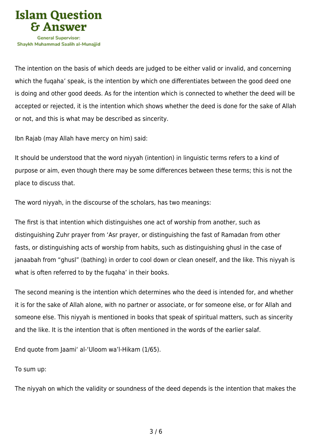

The intention on the basis of which deeds are judged to be either valid or invalid, and concerning which the fuqaha' speak, is the intention by which one differentiates between the good deed one is doing and other good deeds. As for the intention which is connected to whether the deed will be accepted or rejected, it is the intention which shows whether the deed is done for the sake of Allah or not, and this is what may be described as sincerity.

Ibn Rajab (may Allah have mercy on him) said:

It should be understood that the word niyyah (intention) in linguistic terms refers to a kind of purpose or aim, even though there may be some differences between these terms; this is not the place to discuss that.

The word niyyah, in the discourse of the scholars, has two meanings:

The first is that intention which distinguishes one act of worship from another, such as distinguishing Zuhr prayer from 'Asr prayer, or distinguishing the fast of Ramadan from other fasts, or distinguishing acts of worship from habits, such as distinguishing ghusl in the case of janaabah from "ghusl" (bathing) in order to cool down or clean oneself, and the like. This niyyah is what is often referred to by the fuqaha' in their books.

The second meaning is the intention which determines who the deed is intended for, and whether it is for the sake of Allah alone, with no partner or associate, or for someone else, or for Allah and someone else. This niyyah is mentioned in books that speak of spiritual matters, such as sincerity and the like. It is the intention that is often mentioned in the words of the earlier salaf.

End quote from Jaami' al-'Uloom wa'l-Hikam (1/65).

To sum up:

The niyyah on which the validity or soundness of the deed depends is the intention that makes the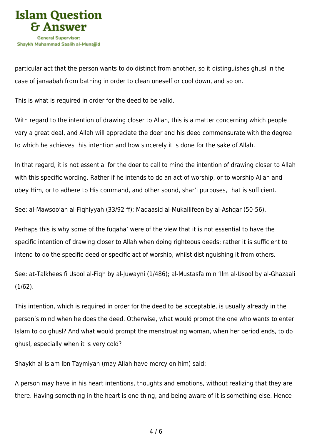

particular act that the person wants to do distinct from another, so it distinguishes ghusl in the case of janaabah from bathing in order to clean oneself or cool down, and so on.

This is what is required in order for the deed to be valid.

With regard to the intention of drawing closer to Allah, this is a matter concerning which people vary a great deal, and Allah will appreciate the doer and his deed commensurate with the degree to which he achieves this intention and how sincerely it is done for the sake of Allah.

In that regard, it is not essential for the doer to call to mind the intention of drawing closer to Allah with this specific wording. Rather if he intends to do an act of worship, or to worship Allah and obey Him, or to adhere to His command, and other sound, shar'i purposes, that is sufficient.

See: al-Mawsoo'ah al-Fiqhiyyah (33/92 ff); Maqaasid al-Mukallifeen by al-Ashqar (50-56).

Perhaps this is why some of the fuqaha' were of the view that it is not essential to have the specific intention of drawing closer to Allah when doing righteous deeds; rather it is sufficient to intend to do the specific deed or specific act of worship, whilst distinguishing it from others.

See: at-Talkhees fi Usool al-Fiqh by al-Juwayni (1/486); al-Mustasfa min 'Ilm al-Usool by al-Ghazaali (1/62).

This intention, which is required in order for the deed to be acceptable, is usually already in the person's mind when he does the deed. Otherwise, what would prompt the one who wants to enter Islam to do ghusl? And what would prompt the menstruating woman, when her period ends, to do ghusl, especially when it is very cold?

Shaykh al-Islam Ibn Taymiyah (may Allah have mercy on him) said:

A person may have in his heart intentions, thoughts and emotions, without realizing that they are there. Having something in the heart is one thing, and being aware of it is something else. Hence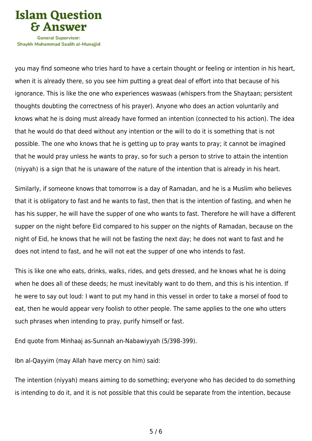

Shavkh Muhammad Saalih al-Munaiiid

you may find someone who tries hard to have a certain thought or feeling or intention in his heart, when it is already there, so you see him putting a great deal of effort into that because of his ignorance. This is like the one who experiences waswaas (whispers from the Shaytaan; persistent thoughts doubting the correctness of his prayer). Anyone who does an action voluntarily and knows what he is doing must already have formed an intention (connected to his action). The idea that he would do that deed without any intention or the will to do it is something that is not possible. The one who knows that he is getting up to pray wants to pray; it cannot be imagined that he would pray unless he wants to pray, so for such a person to strive to attain the intention (niyyah) is a sign that he is unaware of the nature of the intention that is already in his heart.

Similarly, if someone knows that tomorrow is a day of Ramadan, and he is a Muslim who believes that it is obligatory to fast and he wants to fast, then that is the intention of fasting, and when he has his supper, he will have the supper of one who wants to fast. Therefore he will have a different supper on the night before Eid compared to his supper on the nights of Ramadan, because on the night of Eid, he knows that he will not be fasting the next day; he does not want to fast and he does not intend to fast, and he will not eat the supper of one who intends to fast.

This is like one who eats, drinks, walks, rides, and gets dressed, and he knows what he is doing when he does all of these deeds; he must inevitably want to do them, and this is his intention. If he were to say out loud: I want to put my hand in this vessel in order to take a morsel of food to eat, then he would appear very foolish to other people. The same applies to the one who utters such phrases when intending to pray, purify himself or fast.

End quote from Minhaaj as-Sunnah an-Nabawiyyah (5/398-399).

Ibn al-Qayyim (may Allah have mercy on him) said:

The intention (niyyah) means aiming to do something; everyone who has decided to do something is intending to do it, and it is not possible that this could be separate from the intention, because